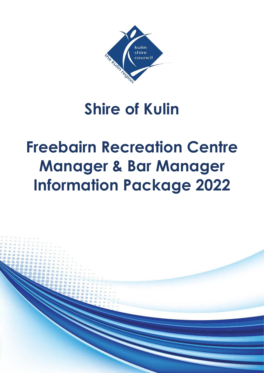

# **Shire of Kulin**

# **Freebairn Recreation Centre Manager & Bar Manager Information Package 2022**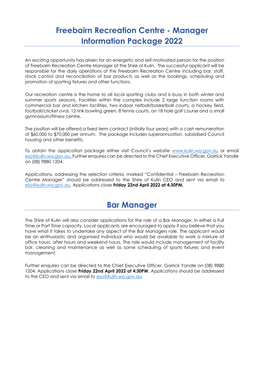## **Freebairn Recreation Centre - Manager Information Package 2022**

An exciting opportunity has arisen for an energetic and self-motivated person for the position of Freebairn Recreation Centre Manager at the Shire of Kulin. The successful applicant will be responsible for the daily operations of the Freebairn Recreation Centre including bar, staff, stock control and reconciliation of bar products as well as the bookings, scheduling and promotion of sporting fixtures and other functions.

Our recreation centre is the home to all local sporting clubs and is busy in both winter and summer sports seasons. Facilities within the complex include 2 large function rooms with commercial bar and kitchen facilities, two indoor netball/basketball courts, a hockey field, football/cricket oval, 12 rink bowling green, 8 tennis courts, an 18 hole golf course and a small gymnasium/fitness centre.

The position will be offered a fixed term contract (initially four years) with a cash remuneration of \$60,000 to \$70,000 per annum. The package includes superannuation, subsidised Council housing and other benefits.

To obtain the application package either visit Council's website [www.kulin.wa.gov.au](http://www.kulin.wa.gov.au/) or email [eso@kulin.wa.gov.au.](mailto:eso@kulin.wa.gov.au.) Further enquires can be directed to the Chief Executive Officer, Garrick Yandle on (08) 9880 1204.

Applications, addressing the selection criteria, marked "Confidential – Freebairn Recreation Centre Manager" should be addressed to the Shire of Kulin CEO and sent via email to [eso@kulin.wa.gov.au.](mailto:eso@kulin.wa.gov.au) Applications close **Friday 22nd April 2022 at 4:30PM.**

## **Bar Manager**

The Shire of Kulin will also consider applications for the role of a Bar Manager, in either a Full Time or Part Time capacity. Local applicants are encouraged to apply if you believe that you have what it takes to undertake any aspect of the Bar Managers role. The applicant would be an enthusiastic and organised individual who would be available to work a mixture of office hours, after hours and weekend hours. The role would include management of facility bar, cleaning and maintenance as well as some scheduling of sports fixtures and event management.

Further enquires can be directed to the Chief Executive Officer, Garrick Yandle on (08) 9880 1204. Applications close **Friday 22nd April 2022 at 4:30PM**. Applications should be addressed to the CEO and sent via email to [eso@kulin.wa.gov.au.](mailto:eso@kulin.wa.gov.au)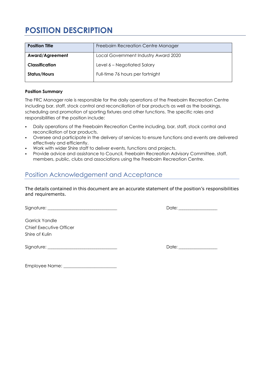# **POSITION DESCRIPTION**

| <b>Position Title</b> | Freebairn Recreation Centre Manager  |
|-----------------------|--------------------------------------|
| Award/Agreement       | Local Government Industry Award 2020 |
| Classification        | Level 6 – Negotiated Salary          |
| Status/Hours          | Full-time 76 hours per fortnight     |

#### **Position Summary**

The FRC Manager role is responsible for the daily operations of the Freebairn Recreation Centre including bar, staff, stock control and reconciliation of bar products as well as the bookings, scheduling and promotion of sporting fixtures and other functions. The specific roles and responsibilities of the position include:

- Daily operations of the Freebairn Recreation Centre including, bar, staff, stock control and reconciliation of bar products.
- Oversee and participate in the delivery of services to ensure functions and events are delivered effectively and efficiently.
- Work with wider Shire staff to deliver events, functions and projects.
- Provide advice and assistance to Council, Freebairn Recreation Advisory Committee, staff, members, public, clubs and associations using the Freebairn Recreation Centre.

### Position Acknowledgement and Acceptance

The details contained in this document are an accurate statement of the position's responsibilities and requirements.

Signature: \_\_\_\_\_\_\_\_\_\_\_\_\_\_\_\_\_\_\_\_\_\_\_\_\_\_\_\_\_\_\_\_\_\_ Date: \_\_\_\_\_\_\_\_\_\_\_\_\_\_\_\_\_\_\_

Garrick Yandle Chief Executive Officer Shire of Kulin

Signature: \_\_\_\_\_\_\_\_\_\_\_\_\_\_\_\_\_\_\_\_\_\_\_\_\_\_\_\_\_\_\_\_\_\_ Date: \_\_\_\_\_\_\_\_\_\_\_\_\_\_\_\_\_\_\_

Employee Name: \_\_\_\_\_\_\_\_\_\_\_\_\_\_\_\_\_\_\_\_\_\_\_\_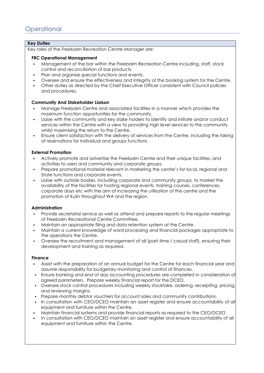#### **Key Duties**

Key roles of the Freebairn Recreation Centre Manager are:

#### **FRC Operational Management**

- Management of the bar within the Freebairn Recreation Centre including, staff, stock control and reconciliation of bar products.
- Plan and organise special functions and events.
- Oversee and ensure the effectiveness and integrity of the booking system for the Centre.
- Other duties as directed by the Chief Executive Officer consistent with Council policies and procedures.

#### **Community And Stakeholder Liaison**

- Manage Freebairn Centre and associated facilities in a manner which provides the maximum function opportunities for the community.
- Liaise with the community and key stake holders to identify and initiate and/or conduct services within the Centre with a view to providing high level services to the community whilst maximising the return to the Centre.
- Ensure client satisfaction with the delivery of services from the Centre, including the taking of reservations for individual and groups functions

#### **External Promotion**

- Actively promote and advertise the Freebairn Centre and their unique facilities, and activities to users and community and corporate groups.
- Prepare promotional material relevant in marketing the centre's for local, regional and State functions and corporate events.
- Liaise with outside bodies, including corporate and community groups, to market the availability of the facilities for hosting regional events, training courses, conferences, corporate days etc with the aim of increasing the utilisation of the centre and the promotion of Kulin throughout WA and the region.

#### **Administration**

- Provide secretarial service as well as attend and prepare reports to the regular meetings of Freebairn Recreational Centre Committee.
- Maintain an appropriate filing and data retention system at the Centre.
- Maintain a current knowledge of word processing and financial packages appropriate to the operations the Centre.
- Oversee the recruitment and management of all (part-time / casual staff), ensuring their development and training as required.

#### **Finance**

- Assist with the preparation of an annual budget for the Centre for each financial year and assume responsibility for budgetary monitoring and control of finances.
- Ensure banking and end of day accounting procedures are completed in consideration of agreed parameters. Prepare weekly financial report for the DCEO.
- Oversee stock control procedures including weekly stocktake, ordering, receipting, pricing, and reviewing margins.
- Prepare monthly debtor vouchers for account sales and community contributions.
- In consultation with CEO/DCEO maintain an asset register and ensure accountability of all equipment and furniture within the Centre.
- Maintain financial systems and provide financial reports as required to the CEO/DCEO
- In consultation with CEO/DCEO maintain an asset register and ensure accountability of all equipment and furniture within the Centre.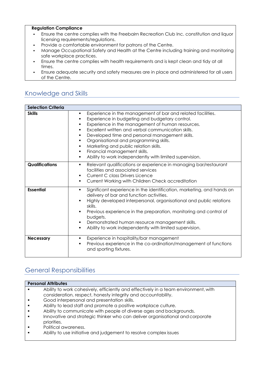#### **Regulation Compliance**

- Ensure the centre complies with the Freebairn Recreation Club Inc. constitution and liquor licensing requirements/regulations.
- Provide a comfortable environment for patrons of the Centre.
- **Manage Occupational Safety and Health at the Centre including training and monitoring** safe workplace practices.
- **Ensure the centre complies with health requirements and is kept clean and tidy at all** times.
- Ensure adequate security and safety measures are in place and administered for all users of the Centre.

### Knowledge and Skills

| <b>Selection Criteria</b> |                                                                                                                                                                                                                                                                                                                                                                                                                                                                                                      |  |  |  |
|---------------------------|------------------------------------------------------------------------------------------------------------------------------------------------------------------------------------------------------------------------------------------------------------------------------------------------------------------------------------------------------------------------------------------------------------------------------------------------------------------------------------------------------|--|--|--|
| <b>Skills</b>             | Experience in the management of bar and related facilities.<br>٠<br>Experience in budgeting and budgetary control.<br>٠<br>Experience in the management of human resources.<br>٠<br>Excellent written and verbal communication skills.<br>٠<br>Developed time and personal management skills.<br>٠<br>Organisational and programming skills.<br>٠<br>Marketing and public relation skills.<br>٠<br>Financial management skills.<br>٠<br>Ability to work independently with limited supervision.<br>٠ |  |  |  |
| <b>Qualifications</b>     | Relevant qualifications or experience in managing bar/restaurant<br>٠<br>facilities and associated services<br><b>Current C class Drivers Licence</b><br>Current Working with Children Check accreditation<br>٠                                                                                                                                                                                                                                                                                      |  |  |  |
| <b>Essential</b>          | Significant experience in the identification, marketing, and hands on<br>٠<br>delivery of bar and function activities.<br>Highly developed interpersonal, organisational and public relations<br>skills.<br>Previous experience in the preparation, monitoring and control of<br>٠<br>budgets.<br>Demonstrated human resource management skills.<br>٠<br>Ability to work independently with limited supervision.<br>٠                                                                                |  |  |  |
| <b>Necessary</b>          | Experience in hospitality/bar management<br>٠<br>Previous experience in the co-ordination/management of functions<br>٠<br>and sporting fixtures.                                                                                                                                                                                                                                                                                                                                                     |  |  |  |

## General Responsibilities

| <b>Personal Attributes</b> |                                                                                     |  |
|----------------------------|-------------------------------------------------------------------------------------|--|
|                            | Ability to work cohesively, efficiently and effectively in a team environment, with |  |
|                            | consideration, respect, honesty integrity and accountability.                       |  |
|                            | Good interpersonal and presentation skills.                                         |  |
|                            | Ability to lead staff and promote a positive workplace culture.                     |  |
|                            | Ability to communicate with people of diverse ages and backgrounds.                 |  |

- Innovative and strategic thinker who can deliver organisational and corporate priorities.
- Political awareness.
- Ability to use initiative and judgement to resolve complex issues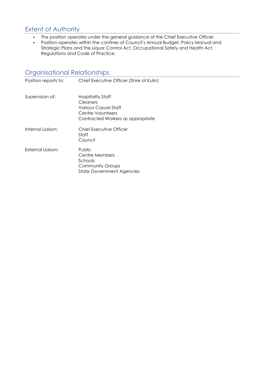## Extent of Authority

- The position operates under the general guidance of the Chief Executive Officer.
- Position operates within the confines of Council's Annual Budget, Policy Manual and Strategic Plans and the Liquor Control Act, Occupational Safety and Health Act, Regulations and Code of Practice.

## Organisational Relationships

| Position reports to: | Chief Executive Officer (Shire of Kulin)                                                                        |
|----------------------|-----------------------------------------------------------------------------------------------------------------|
| Supervision of:      | Hospitality Staff<br>Cleaners<br>Various Casual Staff<br>Centre Volunteers<br>Contracted Workers as appropriate |
| Internal Liaison:    | Chief Executive Officer<br>Staff<br>Council                                                                     |
| External Liaison:    | Public<br>Centre Members<br>Schools<br><b>Community Groups</b><br><b>State Government Agencies</b>              |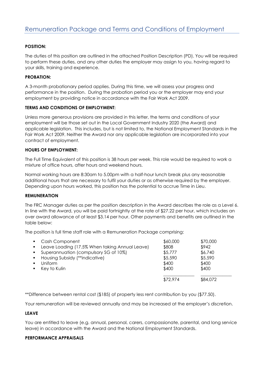#### **POSITION:**

The duties of this position are outlined in the attached Position Description (PD). You will be required to perform these duties, and any other duties the employer may assign to you, having regard to your skills, training and experience.

#### **PROBATION:**

A 3-month probationary period applies. During this time, we will assess your progress and performance in the position. During the probation period you or the employer may end your employment by providing notice in accordance with the Fair Work Act 2009.

#### **TERMS AND CONDITIONS OF EMPLOYMENT:**

Unless more generous provisions are provided in this letter, the terms and conditions of your employment will be those set out in the Local Government Industry 2020 (the Award) and applicable legislation. This includes, but is not limited to, the National Employment Standards in the Fair Work Act 2009. Neither the Award nor any applicable legislation are incorporated into your contract of employment.

#### **HOURS OF EMPLOYMENT:**

The Full Time Equivalent of this position is 38 hours per week. This role would be required to work a mixture of office hours, after hours and weekend hours.

Normal working hours are 8:30am to 5.00pm with a half-hour lunch break plus any reasonable additional hours that are necessary to fulfil your duties or as otherwise required by the employer. Depending upon hours worked, this position has the potential to accrue Time in Lieu.

#### **REMUNERATION**

The FRC Manager duties as per the position description in the Award describes the role as a Level 6. In line with the Award, you will be paid fortnightly at the rate of \$27.22 per hour, which includes an over award allowance of at least \$3.14 per hour. Other payments and benefits are outlined in the table below:

The position is full time staff role with a Remuneration Package comprising:

|                | • Cash Component                               | \$60,000 | \$70,000 |  |
|----------------|------------------------------------------------|----------|----------|--|
| $\blacksquare$ | Leave Loading (17.5% When taking Annual Leave) | \$808    | \$942    |  |
| $\blacksquare$ | Superannuation (compulsory SG of 10%)          | \$5,777  | \$6,740  |  |
| $\blacksquare$ | Housing Subsidy (**indicative)                 | \$5,590  | \$5,590  |  |
|                | Uniform                                        | \$400    | \$400    |  |
|                | Key to Kulin                                   | \$400    | \$400    |  |
|                |                                                |          |          |  |
|                |                                                | \$72,974 | \$84,072 |  |

\*\*Difference between rental cost (\$185) of property less rent contribution by you (\$77.50).

Your remuneration will be reviewed annually and may be increased at the employer's discretion.

#### **LEAVE**

You are entitled to leave (e.g. annual, personal, carers, compassionate, parental, and long service leave) in accordance with the Award and the National Employment Standards.

#### **PERFORMANCE APPRAISALS**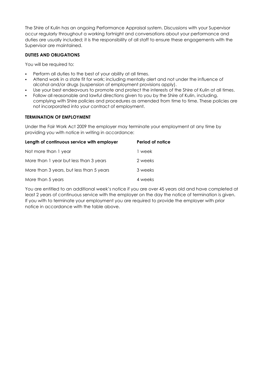The Shire of Kulin has an ongoing Performance Appraisal system. Discussions with your Supervisor occur regularly throughout a working fortnight and conversations about your performance and duties are usually included; it is the responsibility of all staff to ensure these engagements with the Supervisor are maintained.

#### **DUTIES AND OBLIGATIONS**

You will be required to:

- Perform all duties to the best of your ability at all times.
- Attend work in a state fit for work; including mentally alert and not under the influence of alcohol and/or drugs (suspension of employment provisions apply).
- Use your best endeavours to promote and protect the interests of the Shire of Kulin at all times.
- Follow all reasonable and lawful directions given to you by the Shire of Kulin, including. complying with Shire policies and procedures as amended from time to time. These policies are not incorporated into your contract of employment.

#### **TERMINATION OF EMPLOYMENT**

Under the Fair Work Act 2009 the employer may terminate your employment at any time by providing you with notice in writing in accordance:

| Length of continuous service with employer | Period of notice |
|--------------------------------------------|------------------|
| Not more than 1 year                       | 1 week           |
| More than 1 year but less than 3 years     | 2 weeks          |
| More than 3 years, but less than 5 years   | 3 weeks          |
| More than 5 years                          | 4 weeks          |

You are entitled to an additional week's notice if you are over 45 years old and have completed at least 2 years of continuous service with the employer on the day the notice of termination is given. If you with to terminate your employment you are required to provide the employer with prior notice in accordance with the table above.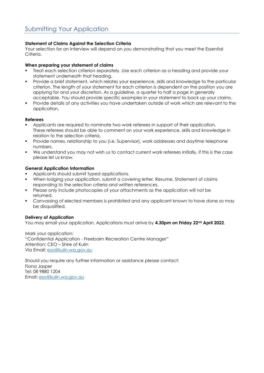#### **Statement of Claims Against the Selection Criteria**

Your selection for an interview will depend on you demonstrating that you meet the Essential Criteria.

#### **When preparing your statement of claims**

- Treat each selection criterion separately. Use each criterion as a heading and provide your statement underneath that heading.
- Provide a brief statement, which relates your experience, skills and knowledge to the particular criterion. The length of your statement for each criterion is dependent on the position you are applying for and your discretion. As a guideline, a quarter to half a page in generally acceptable. You should provide specific examples in your statement to back up your claims.
- Provide details of any activities you have undertaken outside of work which are relevant to the application.

#### **Referees**

- Applicants are required to nominate two work referees in support of their application. These referees should be able to comment on your work experience, skills and knowledge in relation to the selection criteria.
- Provide names, relationship to you (i.e. Supervisor), work addresses and daytime telephone numbers.
- We understand you may not wish us to contact current work referees initially, if this is the case please let us know.

#### **General Application Information**

- Applicants should submit typed applications.
- When lodging your application, submit a covering letter, Resume, Statement of claims responding to the selection criteria and written references.
- Please only include photocopies of your attachments as the application will not be returned.
- Canvassing of elected members is prohibited and any applicant known to have done so may be disqualified.

#### **Delivery of Application**

You may email your application. Applications must arrive by **4.30pm on Friday 22nd April 2022**.

Mark your application: "Confidential Application - Freebairn Recreation Centre Manager" Attention: CEO – Shire of Kulin Via Email: [eso@kulin.wa.gov.au](mailto:eso@kulin.wa.gov.au)

Should you require any further information or assistance please contact: Fiona Jasper Tel: 08 9880 1204 Email: [eso@kulin.wa.gov.au](mailto:eso@kulin.wa.gov.au)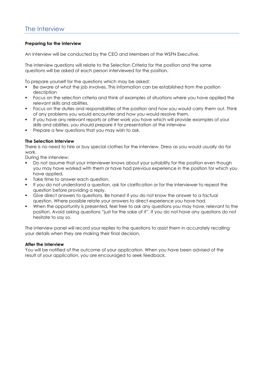#### **Preparing for the Interview**

An interview will be conducted by the CEO and Members of the WSFN Executive.

The interview questions will relate to the Selection Criteria for the position and the same questions will be asked of each person interviewed for the position.

To prepare yourself for the questions which may be asked:

- Be aware of what the job involves. This information can be established from the position description
- Focus on the selection criteria and think of examples of situations where you have applied the relevant skills and abilities.
- Focus on the duties and responsibilities of the position and how you would carry them out. Think of any problems you would encounter and how you would resolve them.
- If you have any relevant reports or other work you have which will provide examples of your skills and abilities, you should prepare it for presentation at the interview
- Prepare a few questions that you may wish to ask.

#### **The Selection Interview**

There is no need to hire or buy special clothes for the interview. Dress as you would usually do for work.

During the interview:

- Do not assume that your interviewer knows about your suitability for the position even though you may have worked with them or have had previous experience in the position for which you have applied.
- Take time to answer each question.
- If you do not understand a question, ask for clarification or for the interviewer to repeat the question before providing a reply.
- Give direct answers to questions. Be honest if you do not know the answer to a factual question. Where possible relate your answers to direct experience you have had.
- When the opportunity is presented, feel free to ask any questions you may have, relevant to the position. Avoid asking questions "just for the sake of it". If you do not have any questions do not hesitate to say so.

The interview panel will record your replies to the questions to assist them in accurately recalling your details when they are making their final decision.

#### **After the Interview**

You will be notified of the outcome of your application. When you have been advised of the result of your application, you are encouraged to seek feedback.